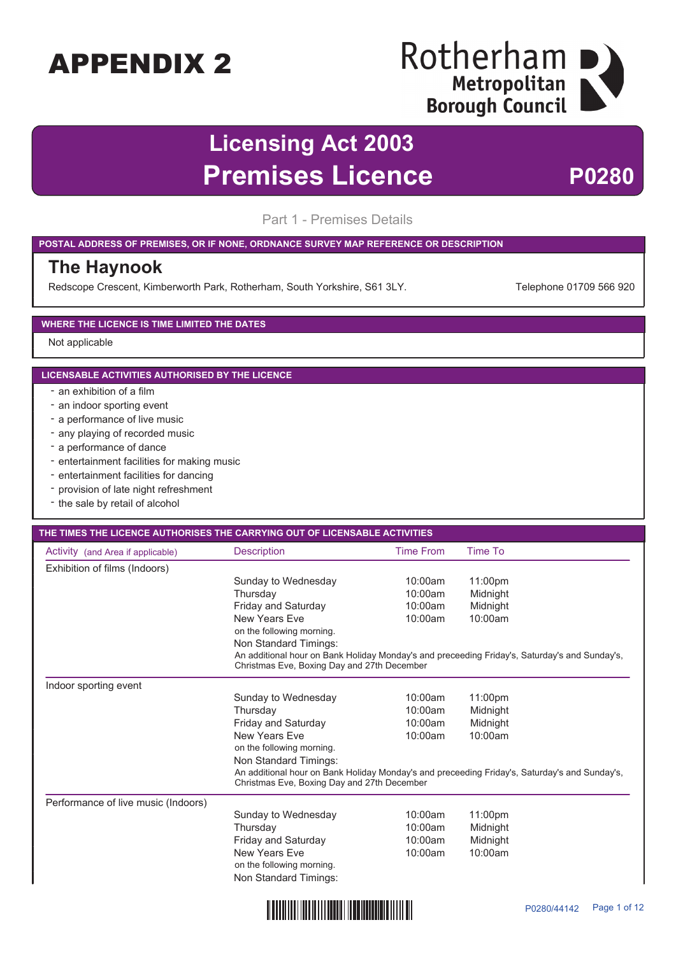## Rotherham D Metropolitan **Borough Council**

## **Licensing Act 2003 Premises Licence** P0280

Part 1 - Premises Details

#### **POSTAL ADDRESS OF PREMISES, OR IF NONE, ORDNANCE SURVEY MAP REFERENCE OR DESCRIPTION**

#### **The Haynook**

Redscope Crescent, Kimberworth Park, Rotherham, South Yorkshire, S61 3LY. Telephone 01709 566 920

#### **WHERE THE LICENCE IS TIME LIMITED THE DATES**

#### Not applicable

#### **LICENSABLE ACTIVITIES AUTHORISED BY THE LICENCE**

- an exhibition of a film
- an indoor sporting event
- a performance of live music
- any playing of recorded music
- a performance of dance
- entertainment facilities for making music
- entertainment facilities for dancing
- provision of late night refreshment
- the sale by retail of alcohol

#### **THE TIMES THE LICENCE AUTHORISES THE CARRYING OUT OF LICENSABLE ACTIVITIES**

| Activity (and Area if applicable)   | <b>Description</b>                                                                                                                           | <b>Time From</b> | Time To  |  |
|-------------------------------------|----------------------------------------------------------------------------------------------------------------------------------------------|------------------|----------|--|
| Exhibition of films (Indoors)       |                                                                                                                                              |                  |          |  |
|                                     | Sunday to Wednesday                                                                                                                          | 10:00am          | 11:00pm  |  |
|                                     | Thursday                                                                                                                                     | 10:00am          | Midnight |  |
|                                     | Friday and Saturday                                                                                                                          | 10:00am          | Midnight |  |
|                                     | <b>New Years Eve</b>                                                                                                                         | 10:00am          | 10:00am  |  |
|                                     | on the following morning.                                                                                                                    |                  |          |  |
|                                     | Non Standard Timings:                                                                                                                        |                  |          |  |
|                                     | An additional hour on Bank Holiday Monday's and preceeding Friday's, Saturday's and Sunday's,<br>Christmas Eve, Boxing Day and 27th December |                  |          |  |
| Indoor sporting event               |                                                                                                                                              |                  |          |  |
|                                     | Sunday to Wednesday                                                                                                                          | 10:00am          | 11:00pm  |  |
|                                     | Thursday                                                                                                                                     | 10:00am          | Midnight |  |
|                                     | Friday and Saturday                                                                                                                          | 10:00am          | Midnight |  |
|                                     | New Years Eve                                                                                                                                | 10:00am          | 10:00am  |  |
|                                     | on the following morning.                                                                                                                    |                  |          |  |
|                                     | Non Standard Timings:                                                                                                                        |                  |          |  |
|                                     | An additional hour on Bank Holiday Monday's and preceeding Friday's, Saturday's and Sunday's,<br>Christmas Eve, Boxing Day and 27th December |                  |          |  |
| Performance of live music (Indoors) |                                                                                                                                              |                  |          |  |
|                                     | Sunday to Wednesday                                                                                                                          | 10:00am          | 11:00pm  |  |
|                                     | Thursday                                                                                                                                     | 10:00am          | Midnight |  |
|                                     | Friday and Saturday                                                                                                                          | 10:00am          | Midnight |  |
|                                     | New Years Eve                                                                                                                                | 10:00am          | 10:00am  |  |
|                                     | on the following morning.                                                                                                                    |                  |          |  |
|                                     | Non Standard Timings:                                                                                                                        |                  |          |  |
|                                     |                                                                                                                                              |                  |          |  |

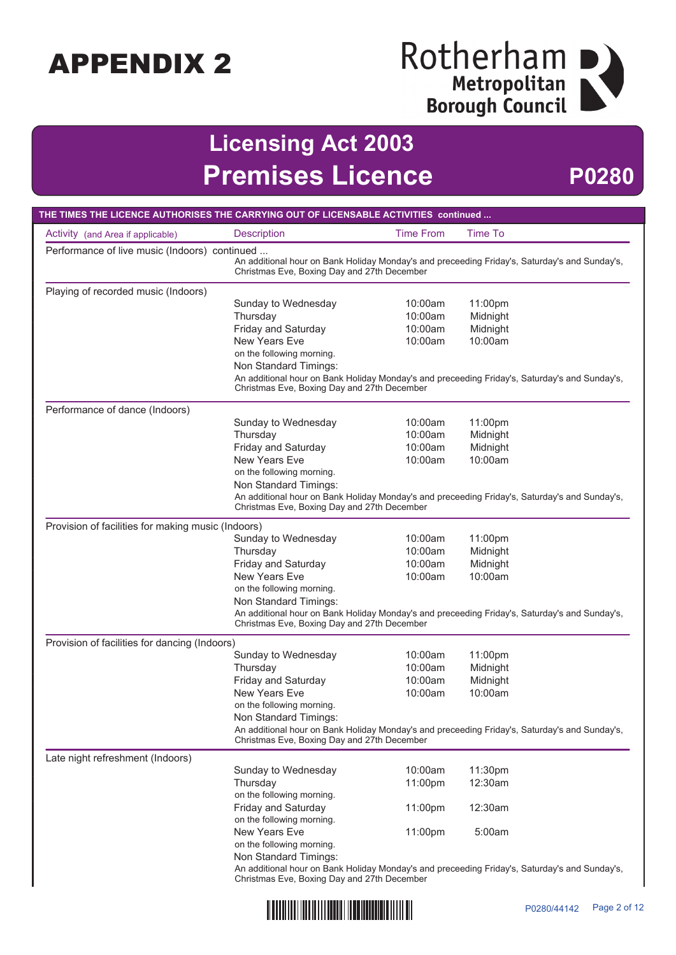# Rotherham<br>
Metropolitan<br>
Borough Council

## **Licensing Act 2003 Premises Licence P0280**

| THE TIMES THE LICENCE AUTHORISES THE CARRYING OUT OF LICENSABLE ACTIVITIES continued |                                                                                                                                                                                               |                                                                                                                                              |                |  |
|--------------------------------------------------------------------------------------|-----------------------------------------------------------------------------------------------------------------------------------------------------------------------------------------------|----------------------------------------------------------------------------------------------------------------------------------------------|----------------|--|
| Activity (and Area if applicable)                                                    | <b>Description</b>                                                                                                                                                                            | <b>Time From</b>                                                                                                                             | <b>Time To</b> |  |
|                                                                                      | Performance of live music (Indoors) continued<br>An additional hour on Bank Holiday Monday's and preceeding Friday's, Saturday's and Sunday's,<br>Christmas Eve, Boxing Day and 27th December |                                                                                                                                              |                |  |
| Playing of recorded music (Indoors)                                                  |                                                                                                                                                                                               |                                                                                                                                              |                |  |
|                                                                                      | Sunday to Wednesday                                                                                                                                                                           | 10:00am                                                                                                                                      | 11:00pm        |  |
|                                                                                      | Thursday                                                                                                                                                                                      | 10:00am                                                                                                                                      | Midnight       |  |
|                                                                                      | Friday and Saturday                                                                                                                                                                           | 10:00am                                                                                                                                      | Midnight       |  |
|                                                                                      | New Years Eve                                                                                                                                                                                 | 10:00am                                                                                                                                      | 10:00am        |  |
|                                                                                      | on the following morning.<br>Non Standard Timings:                                                                                                                                            |                                                                                                                                              |                |  |
|                                                                                      | An additional hour on Bank Holiday Monday's and preceeding Friday's, Saturday's and Sunday's,<br>Christmas Eve, Boxing Day and 27th December                                                  |                                                                                                                                              |                |  |
| Performance of dance (Indoors)                                                       |                                                                                                                                                                                               |                                                                                                                                              |                |  |
|                                                                                      | Sunday to Wednesday                                                                                                                                                                           | 10:00am                                                                                                                                      | 11:00pm        |  |
|                                                                                      | Thursday                                                                                                                                                                                      | 10:00am                                                                                                                                      | Midnight       |  |
|                                                                                      | Friday and Saturday                                                                                                                                                                           | 10:00am                                                                                                                                      | Midnight       |  |
|                                                                                      | New Years Eve                                                                                                                                                                                 | 10:00am                                                                                                                                      | 10:00am        |  |
|                                                                                      | on the following morning.                                                                                                                                                                     |                                                                                                                                              |                |  |
|                                                                                      | Non Standard Timings:                                                                                                                                                                         |                                                                                                                                              |                |  |
|                                                                                      | An additional hour on Bank Holiday Monday's and preceeding Friday's, Saturday's and Sunday's,<br>Christmas Eve, Boxing Day and 27th December                                                  |                                                                                                                                              |                |  |
| Provision of facilities for making music (Indoors)                                   |                                                                                                                                                                                               |                                                                                                                                              |                |  |
|                                                                                      | Sunday to Wednesday                                                                                                                                                                           | 10:00am                                                                                                                                      | 11:00pm        |  |
|                                                                                      | Thursday                                                                                                                                                                                      | 10:00am                                                                                                                                      | Midnight       |  |
|                                                                                      | Friday and Saturday                                                                                                                                                                           | 10:00am                                                                                                                                      | Midnight       |  |
|                                                                                      | <b>New Years Eve</b>                                                                                                                                                                          | 10:00am                                                                                                                                      | 10:00am        |  |
|                                                                                      | on the following morning.                                                                                                                                                                     |                                                                                                                                              |                |  |
|                                                                                      | Non Standard Timings:                                                                                                                                                                         |                                                                                                                                              |                |  |
|                                                                                      | An additional hour on Bank Holiday Monday's and preceeding Friday's, Saturday's and Sunday's,<br>Christmas Eve, Boxing Day and 27th December                                                  |                                                                                                                                              |                |  |
| Provision of facilities for dancing (Indoors)                                        |                                                                                                                                                                                               |                                                                                                                                              |                |  |
|                                                                                      | Sunday to Wednesday                                                                                                                                                                           | 10:00am                                                                                                                                      | 11:00pm        |  |
|                                                                                      | Thursday                                                                                                                                                                                      | 10:00am                                                                                                                                      | Midnight       |  |
|                                                                                      | Friday and Saturday                                                                                                                                                                           | 10:00am                                                                                                                                      | Midnight       |  |
|                                                                                      | <b>New Years Eve</b>                                                                                                                                                                          | 10:00am                                                                                                                                      | 10:00am        |  |
|                                                                                      | on the following morning.                                                                                                                                                                     |                                                                                                                                              |                |  |
|                                                                                      | Non Standard Timings:                                                                                                                                                                         |                                                                                                                                              |                |  |
|                                                                                      |                                                                                                                                                                                               | An additional hour on Bank Holiday Monday's and preceeding Friday's, Saturday's and Sunday's,<br>Christmas Eve, Boxing Day and 27th December |                |  |
| Late night refreshment (Indoors)                                                     |                                                                                                                                                                                               |                                                                                                                                              |                |  |
|                                                                                      | Sunday to Wednesday                                                                                                                                                                           | 10:00am                                                                                                                                      | 11:30pm        |  |
|                                                                                      | Thursday                                                                                                                                                                                      | 11:00pm                                                                                                                                      | 12:30am        |  |
|                                                                                      | on the following morning.                                                                                                                                                                     |                                                                                                                                              |                |  |
|                                                                                      | Friday and Saturday                                                                                                                                                                           | 11:00pm                                                                                                                                      | 12:30am        |  |
|                                                                                      | on the following morning.                                                                                                                                                                     |                                                                                                                                              |                |  |
|                                                                                      | <b>New Years Eve</b><br>on the following morning.                                                                                                                                             | 11:00pm                                                                                                                                      | 5:00am         |  |
|                                                                                      | Non Standard Timings:                                                                                                                                                                         |                                                                                                                                              |                |  |
|                                                                                      | An additional hour on Bank Holiday Monday's and preceeding Friday's, Saturday's and Sunday's,                                                                                                 |                                                                                                                                              |                |  |
|                                                                                      | Christmas Eve, Boxing Day and 27th December                                                                                                                                                   |                                                                                                                                              |                |  |

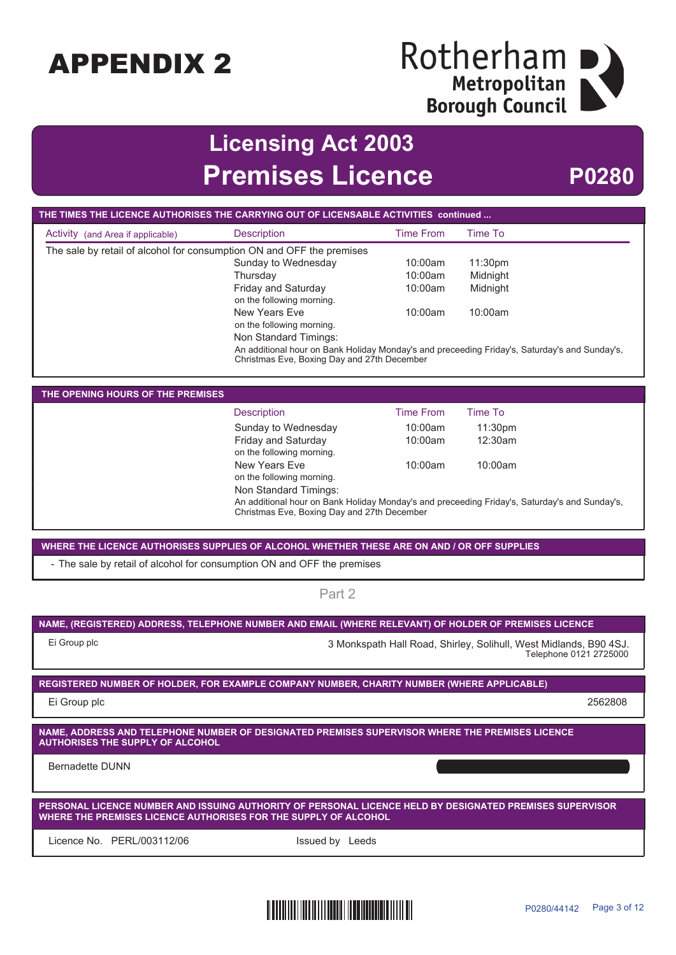# Rotherham<br>
Metropolitan<br>
Borough Council

## **Licensing Act 2003 Premises Licence P0280**

| THE TIMES THE LICENCE AUTHORISES THE CARRYING OUT OF LICENSABLE ACTIVITIES continued                                                       |                                                                       |                  |                                                                                               |  |
|--------------------------------------------------------------------------------------------------------------------------------------------|-----------------------------------------------------------------------|------------------|-----------------------------------------------------------------------------------------------|--|
| Activity (and Area if applicable)                                                                                                          | <b>Description</b>                                                    | <b>Time From</b> | <b>Time To</b>                                                                                |  |
|                                                                                                                                            | The sale by retail of alcohol for consumption ON and OFF the premises |                  |                                                                                               |  |
|                                                                                                                                            | Sunday to Wednesday                                                   | 10:00am          | 11:30pm                                                                                       |  |
|                                                                                                                                            | Thursday                                                              | 10:00am          | Midnight                                                                                      |  |
|                                                                                                                                            | Friday and Saturday                                                   | 10:00am          | Midnight                                                                                      |  |
|                                                                                                                                            | on the following morning.                                             |                  |                                                                                               |  |
|                                                                                                                                            | <b>New Years Eve</b><br>on the following morning.                     | 10:00am          | 10:00am                                                                                       |  |
|                                                                                                                                            | Non Standard Timings:                                                 |                  |                                                                                               |  |
|                                                                                                                                            |                                                                       |                  | An additional hour on Bank Holiday Monday's and preceeding Friday's, Saturday's and Sunday's, |  |
|                                                                                                                                            | Christmas Eve, Boxing Day and 27th December                           |                  |                                                                                               |  |
|                                                                                                                                            |                                                                       |                  |                                                                                               |  |
| THE OPENING HOURS OF THE PREMISES                                                                                                          |                                                                       |                  |                                                                                               |  |
|                                                                                                                                            | <b>Description</b>                                                    | <b>Time From</b> | <b>Time To</b>                                                                                |  |
|                                                                                                                                            | Sunday to Wednesday                                                   | 10:00am          | 11:30pm                                                                                       |  |
|                                                                                                                                            | Friday and Saturday                                                   | 10:00am          | 12:30am                                                                                       |  |
|                                                                                                                                            | on the following morning.                                             |                  |                                                                                               |  |
|                                                                                                                                            | <b>New Years Eve</b>                                                  | 10:00am          | 10:00am                                                                                       |  |
|                                                                                                                                            | on the following morning.<br>Non Standard Timings:                    |                  |                                                                                               |  |
|                                                                                                                                            |                                                                       |                  | An additional hour on Bank Holiday Monday's and preceeding Friday's, Saturday's and Sunday's, |  |
|                                                                                                                                            | Christmas Eve, Boxing Day and 27th December                           |                  |                                                                                               |  |
|                                                                                                                                            |                                                                       |                  |                                                                                               |  |
| WHERE THE LICENCE AUTHORISES SUPPLIES OF ALCOHOL WHETHER THESE ARE ON AND / OR OFF SUPPLIES                                                |                                                                       |                  |                                                                                               |  |
| - The sale by retail of alcohol for consumption ON and OFF the premises                                                                    |                                                                       |                  |                                                                                               |  |
| Part 2                                                                                                                                     |                                                                       |                  |                                                                                               |  |
|                                                                                                                                            |                                                                       |                  |                                                                                               |  |
| NAME, (REGISTERED) ADDRESS, TELEPHONE NUMBER AND EMAIL (WHERE RELEVANT) OF HOLDER OF PREMISES LICENCE                                      |                                                                       |                  |                                                                                               |  |
| Ei Group plc                                                                                                                               |                                                                       |                  | 3 Monkspath Hall Road, Shirley, Solihull, West Midlands, B90 4SJ.                             |  |
|                                                                                                                                            |                                                                       |                  | Telephone 0121 2725000                                                                        |  |
|                                                                                                                                            |                                                                       |                  |                                                                                               |  |
| REGISTERED NUMBER OF HOLDER, FOR EXAMPLE COMPANY NUMBER, CHARITY NUMBER (WHERE APPLICABLE)                                                 |                                                                       |                  |                                                                                               |  |
| Ei Group plc                                                                                                                               |                                                                       |                  | 2562808                                                                                       |  |
|                                                                                                                                            |                                                                       |                  |                                                                                               |  |
| NAME, ADDRESS AND TELEPHONE NUMBER OF DESIGNATED PREMISES SUPERVISOR WHERE THE PREMISES LICENCE<br><b>AUTHORISES THE SUPPLY OF ALCOHOL</b> |                                                                       |                  |                                                                                               |  |
| <b>Bernadette DUNN</b>                                                                                                                     |                                                                       |                  |                                                                                               |  |
|                                                                                                                                            |                                                                       |                  |                                                                                               |  |
| PERSONAL LICENCE NUMBER AND ISSUING AUTHORITY OF PERSONAL LICENCE HELD BY DESIGNATED PREMISES SUPERVISOR                                   |                                                                       |                  |                                                                                               |  |
| WHERE THE PREMISES LICENCE AUTHORISES FOR THE SUPPLY OF ALCOHOL                                                                            |                                                                       |                  |                                                                                               |  |
| Licence No. PERL/003112/06                                                                                                                 | Issued by Leeds                                                       |                  |                                                                                               |  |
|                                                                                                                                            |                                                                       |                  |                                                                                               |  |

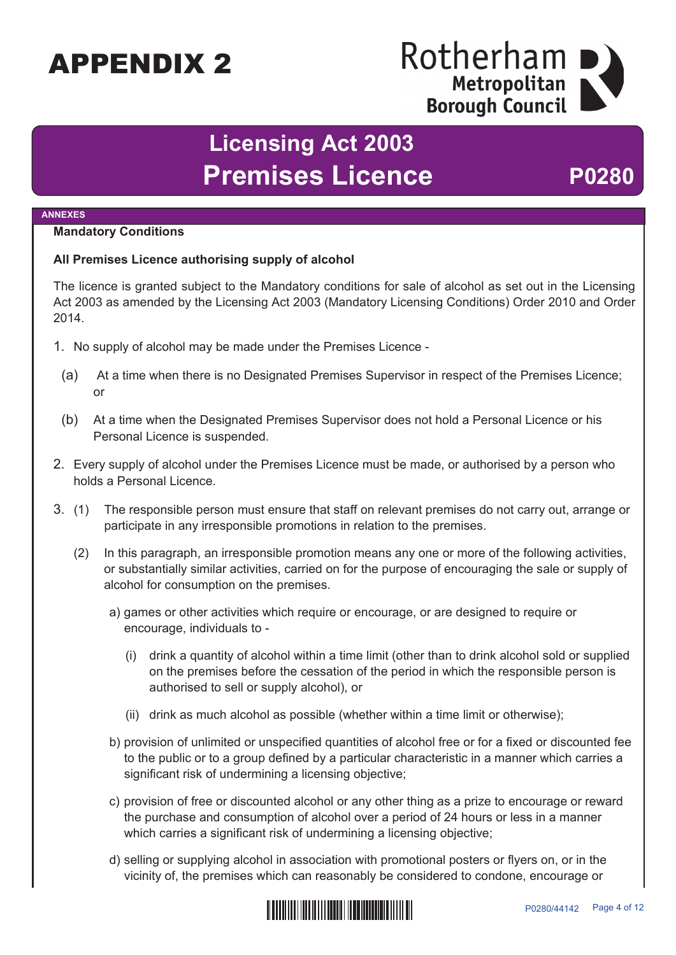## Rotherham Metropolitan **Borough Council**

## **Licensing Act 2003** Premises Licence P0280

#### **ANNEXES**

#### **Mandatory Conditions**

#### **All Premises Licence authorising supply of alcohol**

The licence is granted subject to the Mandatory conditions for sale of alcohol as set out in the Licensing Act 2003 as amended by the Licensing Act 2003 (Mandatory Licensing Conditions) Order 2010 and Order 2014.

- 1. No supply of alcohol may be made under the Premises Licence
	- (a) At a time when there is no Designated Premises Supervisor in respect of the Premises Licence; or
	- (b) At a time when the Designated Premises Supervisor does not hold a Personal Licence or his Personal Licence is suspended.
- 2. Every supply of alcohol under the Premises Licence must be made, or authorised by a person who holds a Personal Licence.
- 3. (1) The responsible person must ensure that staff on relevant premises do not carry out, arrange or participate in any irresponsible promotions in relation to the premises.
	- (2) In this paragraph, an irresponsible promotion means any one or more of the following activities, or substantially similar activities, carried on for the purpose of encouraging the sale or supply of alcohol for consumption on the premises.
		- a) games or other activities which require or encourage, or are designed to require or encourage, individuals to -
			- (i) drink a quantity of alcohol within a time limit (other than to drink alcohol sold or supplied on the premises before the cessation of the period in which the responsible person is authorised to sell or supply alcohol), or
			- (ii) drink as much alcohol as possible (whether within a time limit or otherwise);
		- b) provision of unlimited or unspecified quantities of alcohol free or for a fixed or discounted fee to the public or to a group defined by a particular characteristic in a manner which carries a significant risk of undermining a licensing objective;
		- c) provision of free or discounted alcohol or any other thing as a prize to encourage or reward the purchase and consumption of alcohol over a period of 24 hours or less in a manner which carries a significant risk of undermining a licensing objective;
		- d) selling or supplying alcohol in association with promotional posters or flyers on, or in the vicinity of, the premises which can reasonably be considered to condone, encourage or

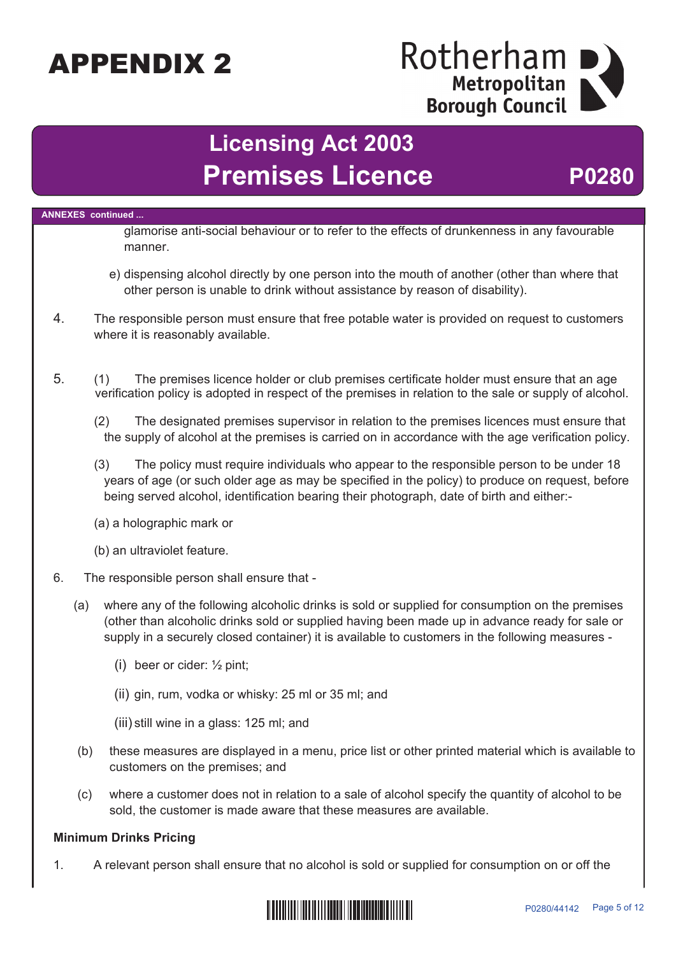## Rotherham Metropolitan **Borough Council**

## **Licensing Act 2003** Premises Licence P0280

**ANNEXES continued ...** glamorise anti-social behaviour or to refer to the effects of drunkenness in any favourable manner. e) dispensing alcohol directly by one person into the mouth of another (other than where that other person is unable to drink without assistance by reason of disability). 4. The responsible person must ensure that free potable water is provided on request to customers where it is reasonably available. 5. (1) The premises licence holder or club premises certificate holder must ensure that an age verification policy is adopted in respect of the premises in relation to the sale or supply of alcohol. (2) The designated premises supervisor in relation to the premises licences must ensure that the supply of alcohol at the premises is carried on in accordance with the age verification policy. (3) The policy must require individuals who appear to the responsible person to be under 18 years of age (or such older age as may be specified in the policy) to produce on request, before being served alcohol, identification bearing their photograph, date of birth and either:- (a) a holographic mark or (b) an ultraviolet feature. 6. The responsible person shall ensure that - (a) where any of the following alcoholic drinks is sold or supplied for consumption on the premises (other than alcoholic drinks sold or supplied having been made up in advance ready for sale or supply in a securely closed container) it is available to customers in the following measures - (i) beer or cider: ½ pint; (ii) gin, rum, vodka or whisky: 25 ml or 35 ml; and (iii) still wine in a glass: 125 ml; and (b) these measures are displayed in a menu, price list or other printed material which is available to customers on the premises; and (c) where a customer does not in relation to a sale of alcohol specify the quantity of alcohol to be sold, the customer is made aware that these measures are available. **Minimum Drinks Pricing**

1. A relevant person shall ensure that no alcohol is sold or supplied for consumption on or off the

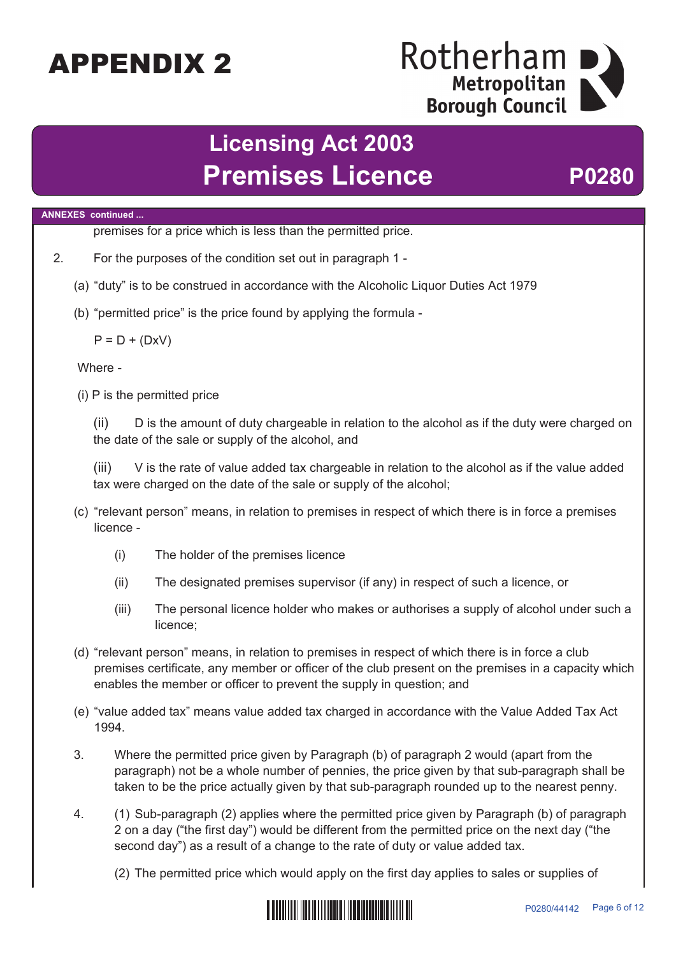## Rotherham Metropolitan **Borough Council**

## **Licensing Act 2003** Premises Licence P0280

#### **ANNEXES continued ...**

premises for a price which is less than the permitted price.

- 2. For the purposes of the condition set out in paragraph 1
	- (a) "duty" is to be construed in accordance with the Alcoholic Liquor Duties Act 1979
	- (b) "permitted price" is the price found by applying the formula -

 $P = D + (DxV)$ 

Where -

(i) P is the permitted price

(ii) D is the amount of duty chargeable in relation to the alcohol as if the duty were charged on the date of the sale or supply of the alcohol, and

(iii) V is the rate of value added tax chargeable in relation to the alcohol as if the value added tax were charged on the date of the sale or supply of the alcohol;

- (c) "relevant person" means, in relation to premises in respect of which there is in force a premises licence -
	- (i) The holder of the premises licence
	- (ii) The designated premises supervisor (if any) in respect of such a licence, or
	- (iii) The personal licence holder who makes or authorises a supply of alcohol under such a licence;
- (d) "relevant person" means, in relation to premises in respect of which there is in force a club premises certificate, any member or officer of the club present on the premises in a capacity which enables the member or officer to prevent the supply in question; and
- (e) "value added tax" means value added tax charged in accordance with the Value Added Tax Act 1994.
- 3. Where the permitted price given by Paragraph (b) of paragraph 2 would (apart from the paragraph) not be a whole number of pennies, the price given by that sub-paragraph shall be taken to be the price actually given by that sub-paragraph rounded up to the nearest penny.
- 4. (1) Sub-paragraph (2) applies where the permitted price given by Paragraph (b) of paragraph 2 on a day ("the first day") would be different from the permitted price on the next day ("the second day") as a result of a change to the rate of duty or value added tax.

(2) The permitted price which would apply on the first day applies to sales or supplies of

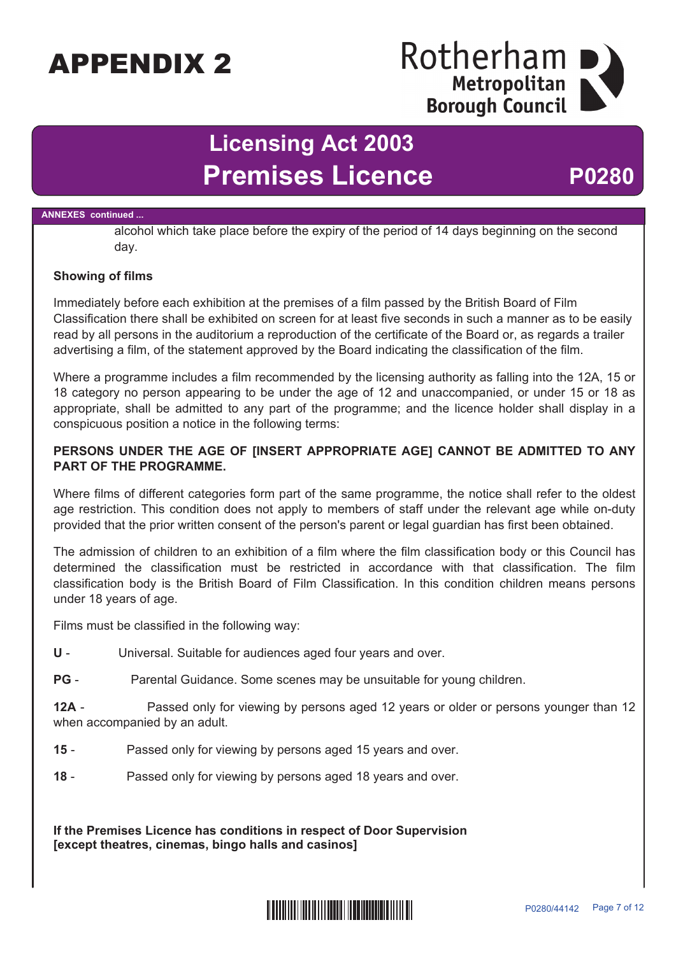### Rotherham Metropolitan **Borough Council**

## **Licensing Act 2003 Premises Licence P0280**

#### **ANNEXES continued ...**

alcohol which take place before the expiry of the period of 14 days beginning on the second day.

#### **Showing of films**

Immediately before each exhibition at the premises of a film passed by the British Board of Film Classification there shall be exhibited on screen for at least five seconds in such a manner as to be easily read by all persons in the auditorium a reproduction of the certificate of the Board or, as regards a trailer advertising a film, of the statement approved by the Board indicating the classification of the film.

Where a programme includes a film recommended by the licensing authority as falling into the 12A, 15 or 18 category no person appearing to be under the age of 12 and unaccompanied, or under 15 or 18 as appropriate, shall be admitted to any part of the programme; and the licence holder shall display in a conspicuous position a notice in the following terms:

#### **PERSONS UNDER THE AGE OF [INSERT APPROPRIATE AGE] CANNOT BE ADMITTED TO ANY PART OF THE PROGRAMME.**

Where films of different categories form part of the same programme, the notice shall refer to the oldest age restriction. This condition does not apply to members of staff under the relevant age while on-duty provided that the prior written consent of the person's parent or legal guardian has first been obtained.

The admission of children to an exhibition of a film where the film classification body or this Council has determined the classification must be restricted in accordance with that classification. The film classification body is the British Board of Film Classification. In this condition children means persons under 18 years of age.

Films must be classified in the following way:

**U** - Universal. Suitable for audiences aged four years and over.

**PG** - Parental Guidance. Some scenes may be unsuitable for young children.

**12A** - Passed only for viewing by persons aged 12 years or older or persons younger than 12 when accompanied by an adult.

**15** - Passed only for viewing by persons aged 15 years and over.

**18** - Passed only for viewing by persons aged 18 years and over.

**If the Premises Licence has conditions in respect of Door Supervision [except theatres, cinemas, bingo halls and casinos]**

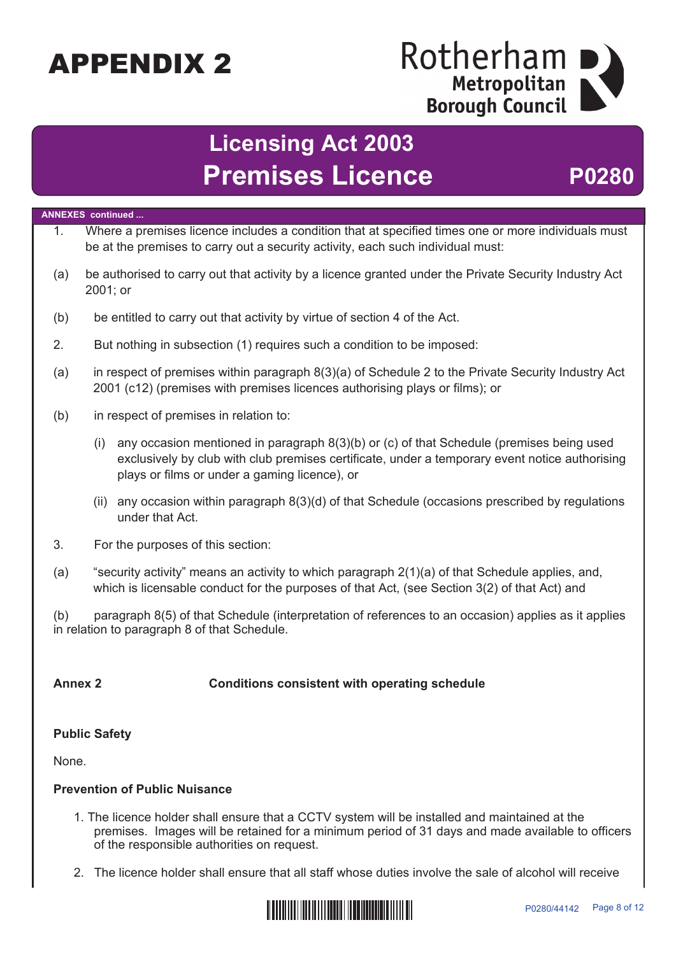## Rotherham Metropolitan **Borough Council**

## **Licensing Act 2003 Premises Licence <b>P0280**

### **ANNEXES continued ...** 1. Where a premises licence includes a condition that at specified times one or more individuals must be at the premises to carry out a security activity, each such individual must: (a) be authorised to carry out that activity by a licence granted under the Private Security Industry Act 2001; or (b) be entitled to carry out that activity by virtue of section 4 of the Act. 2. But nothing in subsection (1) requires such a condition to be imposed: (a) in respect of premises within paragraph 8(3)(a) of Schedule 2 to the Private Security Industry Act 2001 (c12) (premises with premises licences authorising plays or films); or (b) in respect of premises in relation to: (i) any occasion mentioned in paragraph 8(3)(b) or (c) of that Schedule (premises being used exclusively by club with club premises certificate, under a temporary event notice authorising plays or films or under a gaming licence), or (ii) any occasion within paragraph 8(3)(d) of that Schedule (occasions prescribed by regulations under that Act. 3. For the purposes of this section: (a) "security activity" means an activity to which paragraph 2(1)(a) of that Schedule applies, and, which is licensable conduct for the purposes of that Act, (see Section 3(2) of that Act) and (b) paragraph 8(5) of that Schedule (interpretation of references to an occasion) applies as it applies in relation to paragraph 8 of that Schedule. **Annex 2 Conditions consistent with operating schedule Public Safety** None.

#### **Prevention of Public Nuisance**

- 1. The licence holder shall ensure that a CCTV system will be installed and maintained at the premises. Images will be retained for a minimum period of 31 days and made available to officers of the responsible authorities on request.
- 2. The licence holder shall ensure that all staff whose duties involve the sale of alcohol will receive

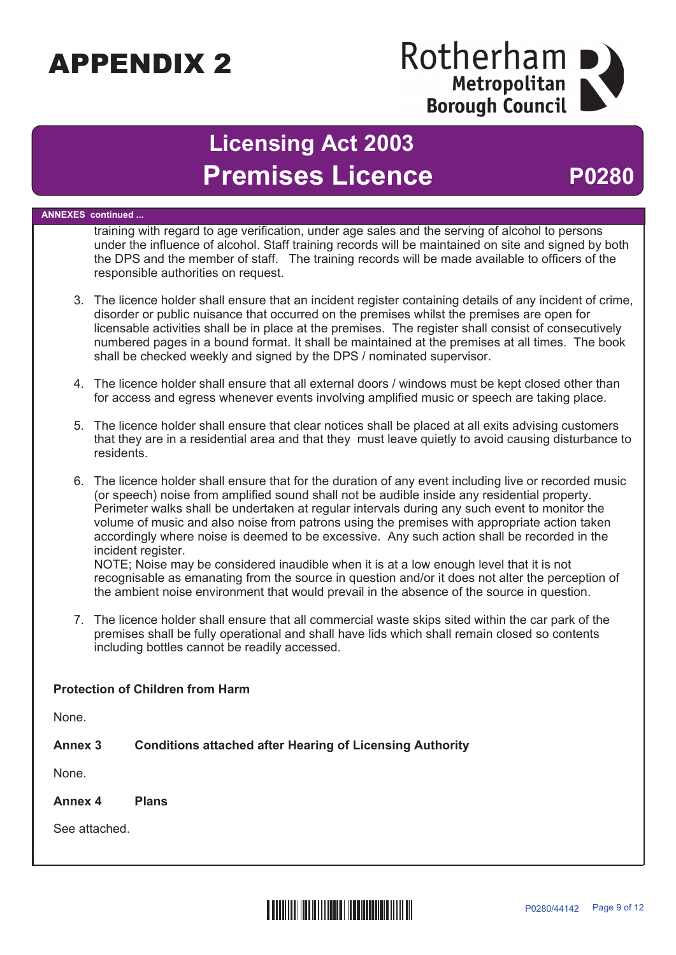## Rotherham Metropolitan **Borough Council**

## **Licensing Act 2003** Premises Licence P0280

**ANNEXES continued ...** training with regard to age verification, under age sales and the serving of alcohol to persons under the influence of alcohol. Staff training records will be maintained on site and signed by both the DPS and the member of staff. The training records will be made available to officers of the responsible authorities on request. 3. The licence holder shall ensure that an incident register containing details of any incident of crime, disorder or public nuisance that occurred on the premises whilst the premises are open for licensable activities shall be in place at the premises. The register shall consist of consecutively numbered pages in a bound format. It shall be maintained at the premises at all times. The book shall be checked weekly and signed by the DPS / nominated supervisor. 4. The licence holder shall ensure that all external doors / windows must be kept closed other than for access and egress whenever events involving amplified music or speech are taking place. 5. The licence holder shall ensure that clear notices shall be placed at all exits advising customers that they are in a residential area and that they must leave quietly to avoid causing disturbance to residents. 6. The licence holder shall ensure that for the duration of any event including live or recorded music (or speech) noise from amplified sound shall not be audible inside any residential property. Perimeter walks shall be undertaken at regular intervals during any such event to monitor the volume of music and also noise from patrons using the premises with appropriate action taken accordingly where noise is deemed to be excessive. Any such action shall be recorded in the incident register. NOTE; Noise may be considered inaudible when it is at a low enough level that it is not recognisable as emanating from the source in question and/or it does not alter the perception of the ambient noise environment that would prevail in the absence of the source in question. 7. The licence holder shall ensure that all commercial waste skips sited within the car park of the premises shall be fully operational and shall have lids which shall remain closed so contents including bottles cannot be readily accessed. **Protection of Children from Harm** None. **Annex 3 Conditions attached after Hearing of Licensing Authority** None. **Annex 4 Plans** See attached.

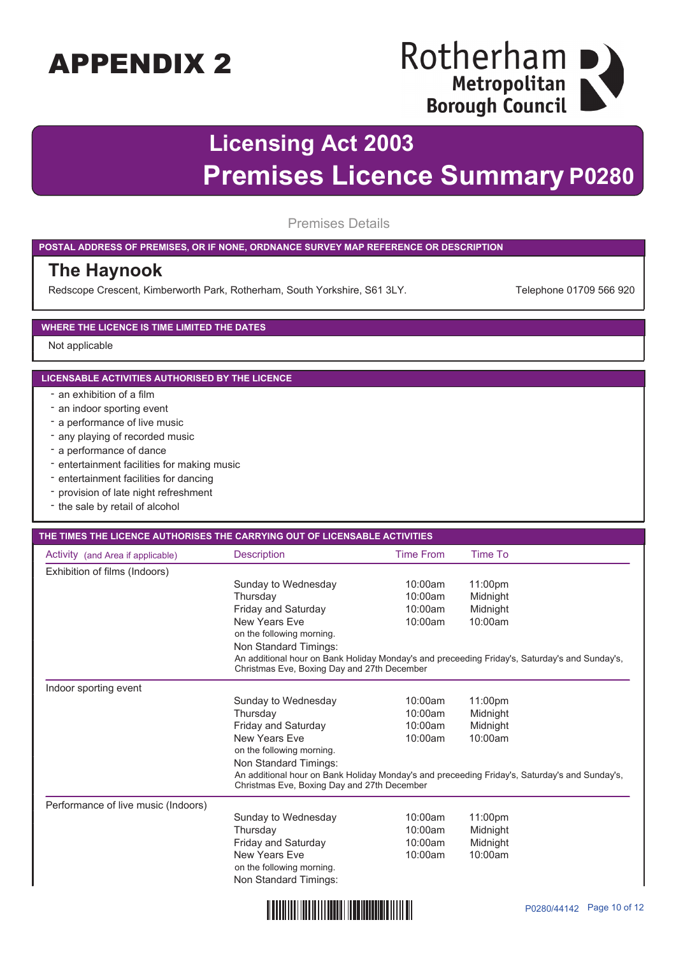# Rotherham<br>
Metropolitan<br>
Borough Council

## **Licensing Act 2003 Premises Licence Summary P0280**

Premises Details

#### **POSTAL ADDRESS OF PREMISES, OR IF NONE, ORDNANCE SURVEY MAP REFERENCE OR DESCRIPTION**

#### **The Haynook**

Redscope Crescent, Kimberworth Park, Rotherham, South Yorkshire, S61 3LY. Telephone 01709 566 920

#### **WHERE THE LICENCE IS TIME LIMITED THE DATES**

Not applicable

#### **LICENSABLE ACTIVITIES AUTHORISED BY THE LICENCE**

- an exhibition of a film
- an indoor sporting event
- a performance of live music
- any playing of recorded music
- a performance of dance
- entertainment facilities for making music
- entertainment facilities for dancing
- provision of late night refreshment
- the sale by retail of alcohol

#### **THE TIMES THE LICENCE AUTHORISES THE CARRYING OUT OF LICENSABLE ACTIVITIES**

| Activity (and Area if applicable)   | <b>Description</b>                                                                                                                           | <b>Time From</b> | Time To  |  |
|-------------------------------------|----------------------------------------------------------------------------------------------------------------------------------------------|------------------|----------|--|
| Exhibition of films (Indoors)       |                                                                                                                                              |                  |          |  |
|                                     | Sunday to Wednesday                                                                                                                          | 10:00am          | 11:00pm  |  |
|                                     | Thursday                                                                                                                                     | 10:00am          | Midnight |  |
|                                     | Friday and Saturday                                                                                                                          | 10:00am          | Midnight |  |
|                                     | New Years Fve                                                                                                                                | 10:00am          | 10:00am  |  |
|                                     | on the following morning.                                                                                                                    |                  |          |  |
|                                     | Non Standard Timings:                                                                                                                        |                  |          |  |
|                                     | An additional hour on Bank Holiday Monday's and preceeding Friday's, Saturday's and Sunday's,<br>Christmas Eve, Boxing Day and 27th December |                  |          |  |
| Indoor sporting event               |                                                                                                                                              |                  |          |  |
|                                     | Sunday to Wednesday                                                                                                                          | 10:00am          | 11:00pm  |  |
|                                     | Thursday                                                                                                                                     | 10:00am          | Midnight |  |
|                                     | Friday and Saturday                                                                                                                          | 10:00am          | Midnight |  |
|                                     | New Years Fve                                                                                                                                | 10:00am          | 10:00am  |  |
|                                     | on the following morning.                                                                                                                    |                  |          |  |
|                                     | Non Standard Timings:                                                                                                                        |                  |          |  |
|                                     | An additional hour on Bank Holiday Monday's and preceeding Friday's, Saturday's and Sunday's,<br>Christmas Eve, Boxing Day and 27th December |                  |          |  |
| Performance of live music (Indoors) |                                                                                                                                              |                  |          |  |
|                                     | Sunday to Wednesday                                                                                                                          | 10:00am          | 11:00pm  |  |
|                                     | Thursday                                                                                                                                     | 10:00am          | Midnight |  |
|                                     | Friday and Saturday                                                                                                                          | 10:00am          | Midnight |  |
|                                     | New Years Eve                                                                                                                                | 10:00am          | 10:00am  |  |
|                                     | on the following morning.                                                                                                                    |                  |          |  |
|                                     | Non Standard Timings:                                                                                                                        |                  |          |  |

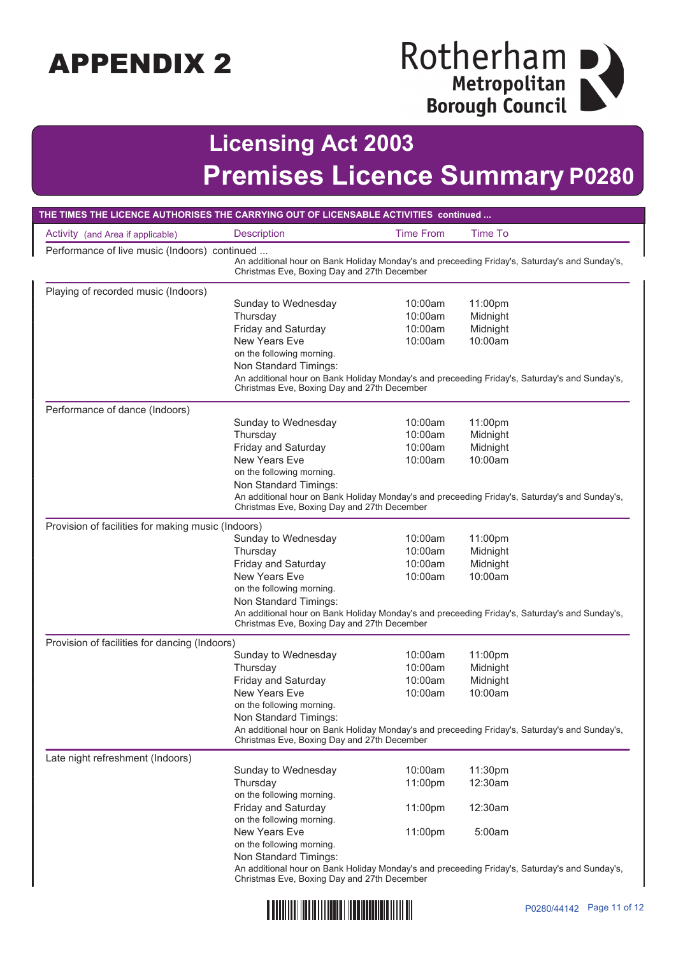# Rotherham<br>
Metropolitan<br>
Borough Council

## **Licensing Act 2003 Premises Licence Summary P0280**

| THE TIMES THE LICENCE AUTHORISES THE CARRYING OUT OF LICENSABLE ACTIVITIES continued                                                                                                          |                                                                                                                                              |                  |                |  |
|-----------------------------------------------------------------------------------------------------------------------------------------------------------------------------------------------|----------------------------------------------------------------------------------------------------------------------------------------------|------------------|----------------|--|
| Activity (and Area if applicable)                                                                                                                                                             | <b>Description</b>                                                                                                                           | <b>Time From</b> | <b>Time To</b> |  |
| Performance of live music (Indoors) continued<br>An additional hour on Bank Holiday Monday's and preceeding Friday's, Saturday's and Sunday's,<br>Christmas Eve, Boxing Day and 27th December |                                                                                                                                              |                  |                |  |
| Playing of recorded music (Indoors)                                                                                                                                                           |                                                                                                                                              |                  |                |  |
|                                                                                                                                                                                               | Sunday to Wednesday                                                                                                                          | 10:00am          | 11:00pm        |  |
|                                                                                                                                                                                               | Thursday                                                                                                                                     | 10:00am          | Midnight       |  |
|                                                                                                                                                                                               | Friday and Saturday                                                                                                                          | 10:00am          | Midnight       |  |
|                                                                                                                                                                                               | <b>New Years Eve</b><br>on the following morning.                                                                                            | 10:00am          | 10:00am        |  |
|                                                                                                                                                                                               | Non Standard Timings:                                                                                                                        |                  |                |  |
|                                                                                                                                                                                               | An additional hour on Bank Holiday Monday's and preceeding Friday's, Saturday's and Sunday's,<br>Christmas Eve, Boxing Day and 27th December |                  |                |  |
| Performance of dance (Indoors)                                                                                                                                                                |                                                                                                                                              |                  |                |  |
|                                                                                                                                                                                               | Sunday to Wednesday                                                                                                                          | 10:00am          | 11:00pm        |  |
|                                                                                                                                                                                               | Thursday                                                                                                                                     | 10:00am          | Midnight       |  |
|                                                                                                                                                                                               | <b>Friday and Saturday</b>                                                                                                                   | 10:00am          | Midnight       |  |
|                                                                                                                                                                                               | <b>New Years Eve</b>                                                                                                                         | 10:00am          | 10:00am        |  |
|                                                                                                                                                                                               | on the following morning.                                                                                                                    |                  |                |  |
|                                                                                                                                                                                               | Non Standard Timings:<br>An additional hour on Bank Holiday Monday's and preceeding Friday's, Saturday's and Sunday's,                       |                  |                |  |
|                                                                                                                                                                                               | Christmas Eve, Boxing Day and 27th December                                                                                                  |                  |                |  |
| Provision of facilities for making music (Indoors)                                                                                                                                            |                                                                                                                                              |                  |                |  |
|                                                                                                                                                                                               | Sunday to Wednesday                                                                                                                          | 10:00am          | 11:00pm        |  |
|                                                                                                                                                                                               | Thursday                                                                                                                                     | 10:00am          | Midnight       |  |
|                                                                                                                                                                                               | Friday and Saturday                                                                                                                          | 10:00am          | Midnight       |  |
|                                                                                                                                                                                               | <b>New Years Eve</b>                                                                                                                         | 10:00am          | 10:00am        |  |
|                                                                                                                                                                                               | on the following morning.                                                                                                                    |                  |                |  |
|                                                                                                                                                                                               | Non Standard Timings:<br>An additional hour on Bank Holiday Monday's and preceeding Friday's, Saturday's and Sunday's,                       |                  |                |  |
|                                                                                                                                                                                               | Christmas Eve, Boxing Day and 27th December                                                                                                  |                  |                |  |
| Provision of facilities for dancing (Indoors)                                                                                                                                                 |                                                                                                                                              |                  |                |  |
|                                                                                                                                                                                               | Sunday to Wednesday                                                                                                                          | 10:00am          | 11:00pm        |  |
|                                                                                                                                                                                               | Thursday                                                                                                                                     | 10:00am          | Midnight       |  |
|                                                                                                                                                                                               | Friday and Saturday                                                                                                                          | 10:00am          | Midnight       |  |
|                                                                                                                                                                                               | <b>New Years Eve</b>                                                                                                                         | 10:00am          | 10:00am        |  |
|                                                                                                                                                                                               | on the following morning.<br>Non Standard Timings:                                                                                           |                  |                |  |
|                                                                                                                                                                                               | An additional hour on Bank Holiday Monday's and preceeding Friday's, Saturday's and Sunday's,                                                |                  |                |  |
|                                                                                                                                                                                               | Christmas Eve, Boxing Day and 27th December                                                                                                  |                  |                |  |
| Late night refreshment (Indoors)                                                                                                                                                              |                                                                                                                                              |                  |                |  |
|                                                                                                                                                                                               | Sunday to Wednesday                                                                                                                          | 10:00am          | 11:30pm        |  |
|                                                                                                                                                                                               | Thursday                                                                                                                                     | 11:00pm          | 12:30am        |  |
|                                                                                                                                                                                               | on the following morning.                                                                                                                    |                  |                |  |
|                                                                                                                                                                                               | Friday and Saturday                                                                                                                          | 11:00pm          | 12:30am        |  |
|                                                                                                                                                                                               | on the following morning.<br><b>New Years Eve</b>                                                                                            | 11:00pm          | 5:00am         |  |
|                                                                                                                                                                                               | on the following morning.                                                                                                                    |                  |                |  |
|                                                                                                                                                                                               | Non Standard Timings:                                                                                                                        |                  |                |  |
|                                                                                                                                                                                               | An additional hour on Bank Holiday Monday's and preceeding Friday's, Saturday's and Sunday's,                                                |                  |                |  |
|                                                                                                                                                                                               | Christmas Eve, Boxing Day and 27th December                                                                                                  |                  |                |  |